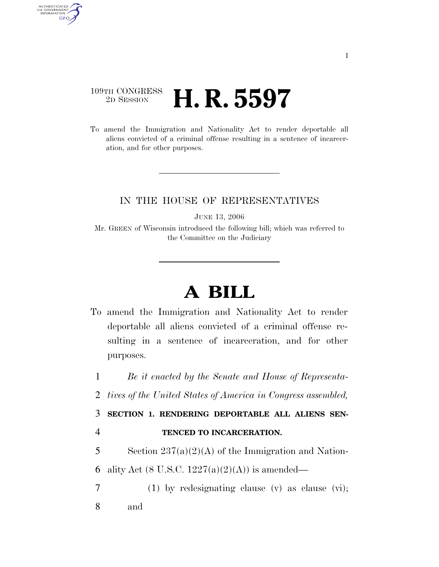## 109TH CONGRESS <sup>2D SESSION</sup> **H. R. 5597**

AUTHENTICATED<br>U.S. GOVERNMENT<br>INFORMATION GPO

> To amend the Immigration and Nationality Act to render deportable all aliens convicted of a criminal offense resulting in a sentence of incarceration, and for other purposes.

## IN THE HOUSE OF REPRESENTATIVES

JUNE 13, 2006

Mr. GREEN of Wisconsin introduced the following bill; which was referred to the Committee on the Judiciary

## **A BILL**

To amend the Immigration and Nationality Act to render deportable all aliens convicted of a criminal offense resulting in a sentence of incarceration, and for other purposes.

1 *Be it enacted by the Senate and House of Representa-*

2 *tives of the United States of America in Congress assembled,* 

3 **SECTION 1. RENDERING DEPORTABLE ALL ALIENS SEN-**

4 **TENCED TO INCARCERATION.** 

5 Section  $237(a)(2)(A)$  of the Immigration and Nation-6 ality Act (8 U.S.C.  $1227(a)(2)(A)$ ) is amended—

7 (1) by redesignating clause (v) as clause (vi); 8 and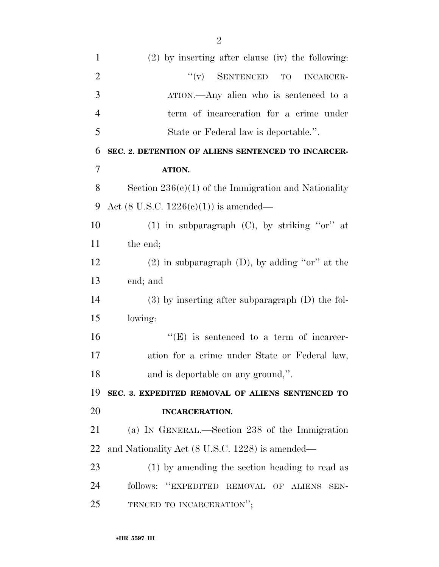| $\mathbf{1}$   | $(2)$ by inserting after clause (iv) the following:    |
|----------------|--------------------------------------------------------|
| $\overline{2}$ | $``(v)$ SENTENCED TO<br><b>INCARCER-</b>               |
| 3              | ATION.—Any alien who is sentenced to a                 |
| $\overline{4}$ | term of incarceration for a crime under                |
| 5              | State or Federal law is deportable.".                  |
| 6              | SEC. 2. DETENTION OF ALIENS SENTENCED TO INCARCER-     |
| 7              | ATION.                                                 |
| 8              | Section $236(c)(1)$ of the Immigration and Nationality |
| 9              | Act $(8 \text{ U.S.C. } 1226(c)(1))$ is amended—       |
| 10             | (1) in subparagraph $(C)$ , by striking "or" at        |
| 11             | the end;                                               |
| 12             | $(2)$ in subparagraph $(D)$ , by adding "or" at the    |
| 13             | end; and                                               |
| 14             | $(3)$ by inserting after subparagraph $(D)$ the fol-   |
| 15             | lowing:                                                |
| 16             | $\lq\lq(E)$ is sentenced to a term of incarcer-        |
| 17             | ation for a crime under State or Federal law,          |
| 18             | and is deportable on any ground,".                     |
| 19             | SEC. 3. EXPEDITED REMOVAL OF ALIENS SENTENCED TO       |
| 20             | <b>INCARCERATION.</b>                                  |
| 21             | (a) IN GENERAL.—Section 238 of the Immigration         |
| 22             | and Nationality Act (8 U.S.C. 1228) is amended—        |
| 23             | (1) by amending the section heading to read as         |
| 24             | follows: "EXPEDITED REMOVAL OF ALIENS<br>SEN-          |
| 25             | TENCED TO INCARCERATION";                              |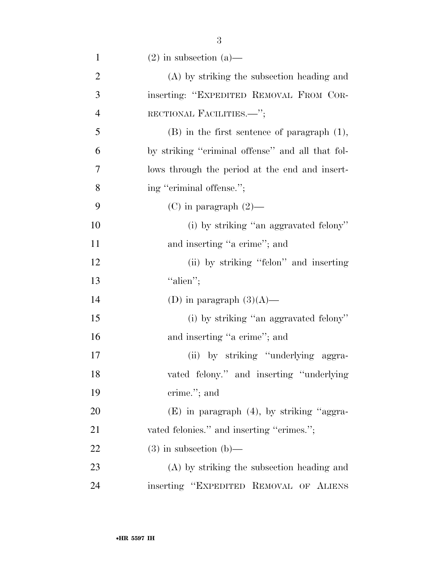| $\mathbf{1}$   | $(2)$ in subsection $(a)$ —                      |
|----------------|--------------------------------------------------|
| $\overline{2}$ | (A) by striking the subsection heading and       |
| 3              | inserting: "EXPEDITED REMOVAL FROM COR-          |
| $\overline{4}$ | RECTIONAL FACILITIES.-";                         |
| 5              | $(B)$ in the first sentence of paragraph $(1)$ , |
| 6              | by striking "criminal offense" and all that fol- |
| 7              | lows through the period at the end and insert-   |
| 8              | ing "criminal offense.";                         |
| 9              | $(C)$ in paragraph $(2)$ —                       |
| 10             | (i) by striking "an aggravated felony"           |
| 11             | and inserting "a crime"; and                     |
| 12             | (ii) by striking "felon" and inserting           |
| 13             | "alien";                                         |
| 14             | (D) in paragraph $(3)(A)$ —                      |
| 15             | (i) by striking "an aggravated felony"           |
| 16             | and inserting "a crime"; and                     |
| 17             | (ii) by striking "underlying aggra-              |
| 18             | vated felony." and inserting "underlying"        |
| 19             | crime."; and                                     |
| 20             | $(E)$ in paragraph $(4)$ , by striking "aggra-   |
| 21             | vated felonies." and inserting "crimes.";        |
| 22             | $(3)$ in subsection $(b)$ —                      |
| 23             | (A) by striking the subsection heading and       |
| 24             | inserting "EXPEDITED REMOVAL OF ALIENS           |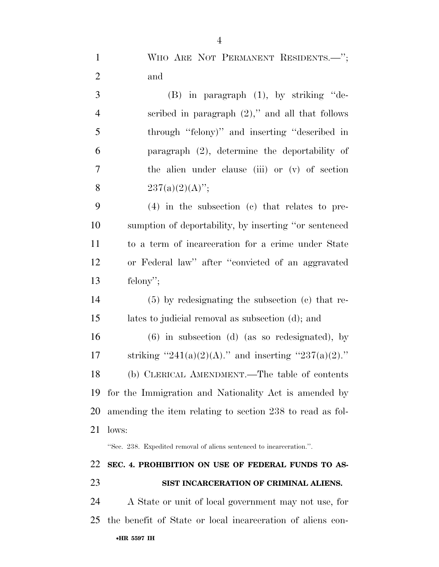| $\mathbf{1}$   | WHO ARE NOT PERMANENT RESIDENTS.-";                                  |
|----------------|----------------------------------------------------------------------|
| $\mathbf{2}$   | and                                                                  |
| 3              | $(B)$ in paragraph $(1)$ , by striking "de-                          |
| $\overline{4}$ | scribed in paragraph $(2)$ ," and all that follows                   |
| 5              | through "felony)" and inserting "described in                        |
| 6              | paragraph (2), determine the deportability of                        |
| $\tau$         | the alien under clause (iii) or (v) of section                       |
| 8              | $237(a)(2)(A)$ ";                                                    |
| 9              | $(4)$ in the subsection $(c)$ that relates to pre-                   |
| 10             | sumption of deportability, by inserting "or sentenced                |
| 11             | to a term of incarceration for a crime under State                   |
| 12             | or Federal law" after "convicted of an aggravated                    |
| 13             | felony";                                                             |
| 14             | $(5)$ by redesignating the subsection $(c)$ that re-                 |
| 15             | lates to judicial removal as subsection (d); and                     |
| 16             | $(6)$ in subsection $(d)$ (as so redesignated), by                   |
| 17             | striking "241(a)(2)(A)." and inserting "237(a)(2)."                  |
| 18             | (b) CLERICAL AMENDMENT.—The table of contents                        |
| 19             | for the Immigration and Nationality Act is amended by                |
| 20             | amending the item relating to section 238 to read as fol-            |
| 21             | lows:                                                                |
|                | "Sec. 238. Expedited removal of aliens sentenced to incarceration.". |
| 22             | SEC. 4. PROHIBITION ON USE OF FEDERAL FUNDS TO AS-                   |
| 23             | SIST INCARCERATION OF CRIMINAL ALIENS.                               |
| 24             | A State or unit of local government may not use, for                 |
| 25             | the benefit of State or local incarceration of aliens con-           |